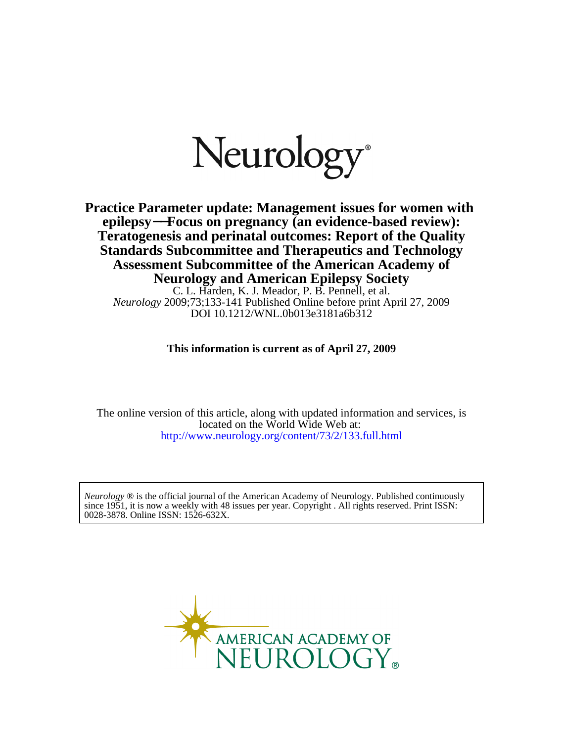

# **Neurology and American Epilepsy Society Assessment Subcommittee of the American Academy of Standards Subcommittee and Therapeutics and Technology Teratogenesis and perinatal outcomes: Report of the Quality epilepsy**−−**Focus on pregnancy (an evidence-based review): Practice Parameter update: Management issues for women with**

DOI 10.1212/WNL.0b013e3181a6b312 *Neurology* 2009;73;133-141 Published Online before print April 27, 2009 C. L. Harden, K. J. Meador, P. B. Pennell, et al.

**This information is current as of April 27, 2009**

<http://www.neurology.org/content/73/2/133.full.html> located on the World Wide Web at: The online version of this article, along with updated information and services, is

0028-3878. Online ISSN: 1526-632X. since 1951, it is now a weekly with 48 issues per year. Copyright . All rights reserved. Print ISSN: *Neurology*  $\circledcirc$  is the official journal of the American Academy of Neurology. Published continuously

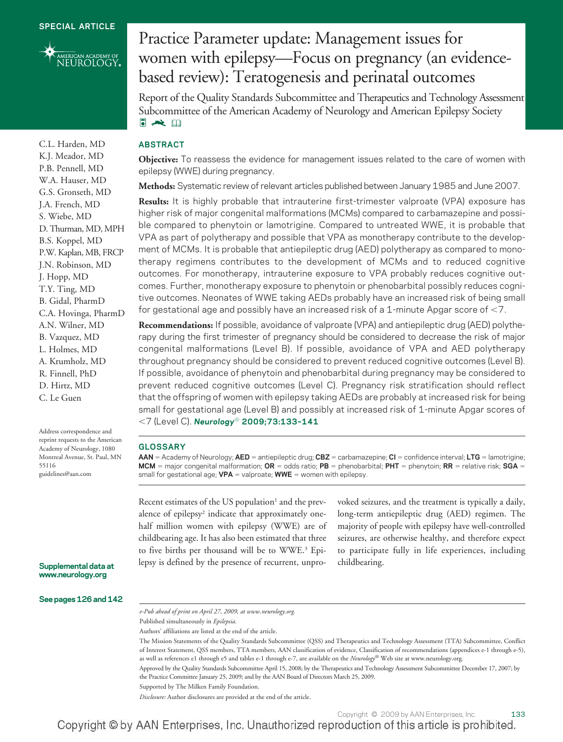

C.L. Harden, MD K.J. Meador, MD P.B. Pennell, MD W.A. Hauser, MD G.S. Gronseth, MD J.A. French, MD S. Wiebe, MD D. Thurman, MD, MPH B.S. Koppel, MD P.W. Kaplan, MB, FRCP J.N. Robinson, MD J. Hopp, MD T.Y. Ting, MD B. Gidal, PharmD C.A. Hovinga, PharmD A.N. Wilner, MD B. Vazquez, MD L. Holmes, MD A. Krumholz, MD R. Finnell, PhD D. Hirtz, MD C. Le Guen

Address correspondence and reprint requests to the American Academy of Neurology, 1080 Montreal Avenue, St. Paul, MN 55116 guidelines@aan.com

**www.neurology.org**

**See pages 126 and 142**

# Practice Parameter update: Management issues for women with epilepsy—Focus on pregnancy (an evidencebased review): Teratogenesis and perinatal outcomes

Report of the Quality Standards Subcommittee and Therapeutics and Technology Assessment Subcommittee of the American Academy of Neurology and American Epilepsy Society  $\blacksquare \blacktriangleright \blacksquare$ 

# **ABSTRACT**

**Objective:** To reassess the evidence for management issues related to the care of women with epilepsy (WWE) during pregnancy.

**Methods:** Systematic review of relevant articles published between January 1985 and June 2007.

**Results:** It is highly probable that intrauterine first-trimester valproate (VPA) exposure has higher risk of major congenital malformations (MCMs) compared to carbamazepine and possible compared to phenytoin or lamotrigine. Compared to untreated WWE, it is probable that VPA as part of polytherapy and possible that VPA as monotherapy contribute to the development of MCMs. It is probable that antiepileptic drug (AED) polytherapy as compared to monotherapy regimens contributes to the development of MCMs and to reduced cognitive outcomes. For monotherapy, intrauterine exposure to VPA probably reduces cognitive outcomes. Further, monotherapy exposure to phenytoin or phenobarbital possibly reduces cognitive outcomes. Neonates of WWE taking AEDs probably have an increased risk of being small for gestational age and possibly have an increased risk of a 1-minute Apgar score of  $<$ 7.

**Recommendations:** If possible, avoidance of valproate (VPA) and antiepileptic drug (AED) polytherapy during the first trimester of pregnancy should be considered to decrease the risk of major congenital malformations (Level B). If possible, avoidance of VPA and AED polytherapy throughout pregnancy should be considered to prevent reduced cognitive outcomes (Level B). If possible, avoidance of phenytoin and phenobarbital during pregnancy may be considered to prevent reduced cognitive outcomes (Level C). Pregnancy risk stratification should reflect that the offspring of women with epilepsy taking AEDs are probably at increased risk for being small for gestational age (Level B) and possibly at increased risk of 1-minute Apgar scores of 7 (Level C). *Neurology*® **2009;73:133–141**

# **GLOSSARY**

 $\textsf{AAN} = \textsf{Academy of Neurology; AED = antiepileptic drug; CBZ = carbamazepine; CI = confidence interval; LTG = lamotrigine;$  ${\sf MCM}$  = major congenital malformation;  ${\sf OR}$  = odds ratio;  ${\sf PB}$  = phenobarbital;  ${\sf PHT}$  = phenytoin;  ${\sf RR}$  = relative risk;  ${\sf SG}$  = small for gestational age; **VPA** = valproate; **WWE** = women with epilepsy.

Recent estimates of the US population $<sup>1</sup>$  and the prev-</sup> alence of epilepsy<sup>2</sup> indicate that approximately onehalf million women with epilepsy (WWE) are of childbearing age. It has also been estimated that three to five births per thousand will be to WWE.3 Epilepsy is defined by the presence of recurrent, unpro-childbearing. **Supplemental data at**

voked seizures, and the treatment is typically a daily, long-term antiepileptic drug (AED) regimen. The majority of people with epilepsy have well-controlled seizures, are otherwise healthy, and therefore expect to participate fully in life experiences, including

*e-Pub ahead of print on April 27, 2009, at www.neurology.org.*

Published simultaneously in *Epilepsia.*

Authors' affiliations are listed at the end of the article.

The Mission Statements of the Quality Standards Subcommittee (QSS) and Therapeutics and Technology Assessment (TTA) Subcommittee, Conflict of Interest Statement, QSS members, TTA members, AAN classification of evidence, Classification of recommendations (appendices e-1 through e-5), as well as references e1 through e5 and tables e-1 through e-7, are available on the *Neurology*® Web site at www.neurology.org.

Approved by the Quality Standards Subcommittee April 15, 2008; by the Therapeutics and Technology Assessment Subcommittee December 17, 2007; by the Practice Committee January 25, 2009; and by the AAN Board of Directors March 25, 2009.

*Disclosure:* Author disclosures are provided at the end of the article.

Copyright © 2009 by AAN Enterprises, Inc. 133

Supported by The Milken Family Foundation.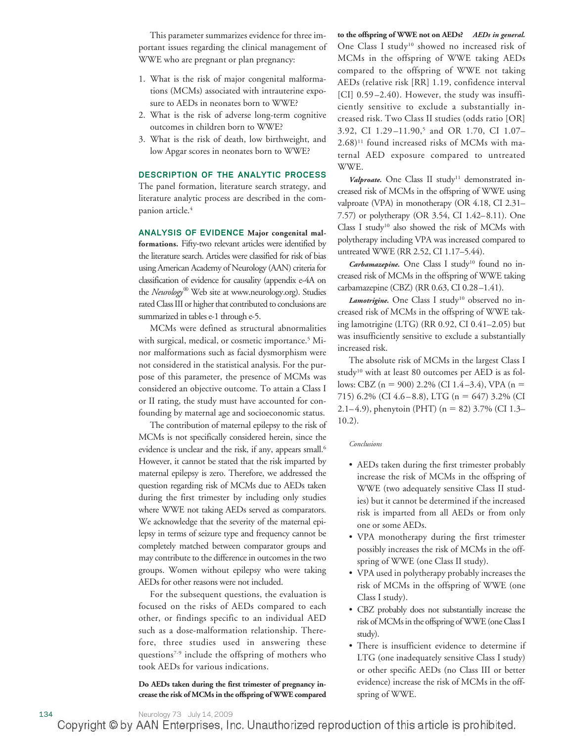This parameter summarizes evidence for three important issues regarding the clinical management of WWE who are pregnant or plan pregnancy:

- 1. What is the risk of major congenital malformations (MCMs) associated with intrauterine exposure to AEDs in neonates born to WWE?
- 2. What is the risk of adverse long-term cognitive outcomes in children born to WWE?
- 3. What is the risk of death, low birthweight, and low Apgar scores in neonates born to WWE?

# **DESCRIPTION OF THE ANALYTIC PROCESS**

The panel formation, literature search strategy, and literature analytic process are described in the companion article.<sup>4</sup>

**ANALYSIS OF EVIDENCE Major congenital malformations.** Fifty-two relevant articles were identified by the literature search. Articles were classified for risk of bias using American Academy of Neurology (AAN) criteria for classification of evidence for causality (appendix e-4A on the *Neurology®* Web site at www.neurology.org). Studies rated Class III or higher that contributed to conclusions are summarized in tables e-1 through e-5.

MCMs were defined as structural abnormalities with surgical, medical, or cosmetic importance.<sup>5</sup> Minor malformations such as facial dysmorphism were not considered in the statistical analysis. For the purpose of this parameter, the presence of MCMs was considered an objective outcome. To attain a Class I or II rating, the study must have accounted for confounding by maternal age and socioeconomic status.

The contribution of maternal epilepsy to the risk of MCMs is not specifically considered herein, since the evidence is unclear and the risk, if any, appears small.<sup>6</sup> However, it cannot be stated that the risk imparted by maternal epilepsy is zero. Therefore, we addressed the question regarding risk of MCMs due to AEDs taken during the first trimester by including only studies where WWE not taking AEDs served as comparators. We acknowledge that the severity of the maternal epilepsy in terms of seizure type and frequency cannot be completely matched between comparator groups and may contribute to the difference in outcomes in the two groups. Women without epilepsy who were taking AEDs for other reasons were not included.

For the subsequent questions, the evaluation is focused on the risks of AEDs compared to each other, or findings specific to an individual AED such as a dose-malformation relationship. Therefore, three studies used in answering these questions7-9 include the offspring of mothers who took AEDs for various indications.

**Do AEDs taken during the first trimester of pregnancy increase the risk of MCMs in the offspring of WWE compared** **to the offspring of WWE not on AEDs?** *AEDs in general.* One Class I study<sup>10</sup> showed no increased risk of MCMs in the offspring of WWE taking AEDs compared to the offspring of WWE not taking AEDs (relative risk [RR] 1.19, confidence interval [CI] 0.59-2.40). However, the study was insufficiently sensitive to exclude a substantially increased risk. Two Class II studies (odds ratio [OR] 3.92, CI 1.29-11.90,<sup>5</sup> and OR 1.70, CI 1.07- $2.68$ <sup>11</sup> found increased risks of MCMs with maternal AED exposure compared to untreated WWE.

*Valproate.* One Class II study<sup>11</sup> demonstrated increased risk of MCMs in the offspring of WWE using valproate (VPA) in monotherapy (OR 4.18, CI 2.31– 7.57) or polytherapy (OR 3.54, CI 1.42–8.11). One Class I study<sup>10</sup> also showed the risk of MCMs with polytherapy including VPA was increased compared to untreated WWE (RR 2.52, CI 1.17–5.44).

*Carbamazepine.* One Class I study<sup>10</sup> found no increased risk of MCMs in the offspring of WWE taking carbamazepine (CBZ) (RR 0.63, CI 0.28–1.41).

Lamotrigine. One Class I study<sup>10</sup> observed no increased risk of MCMs in the offspring of WWE taking lamotrigine (LTG) (RR 0.92, CI 0.41–2.05) but was insufficiently sensitive to exclude a substantially increased risk.

The absolute risk of MCMs in the largest Class I study10 with at least 80 outcomes per AED is as follows: CBZ (n = 900) 2.2% (CI 1.4–3.4), VPA (n =  $715)$  6.2% (CI 4.6–8.8), LTG (n = 647) 3.2% (CI 2.1–4.9), phenytoin (PHT) (n = 82) 3.7% (CI 1.3– 10.2).

#### *Conclusions*

- AEDs taken during the first trimester probably increase the risk of MCMs in the offspring of WWE (two adequately sensitive Class II studies) but it cannot be determined if the increased risk is imparted from all AEDs or from only one or some AEDs.
- VPA monotherapy during the first trimester possibly increases the risk of MCMs in the offspring of WWE (one Class II study).
- VPA used in polytherapy probably increases the risk of MCMs in the offspring of WWE (one Class I study).
- CBZ probably does not substantially increase the risk of MCMs in the offspring of WWE (one Class I study).
- There is insufficient evidence to determine if LTG (one inadequately sensitive Class I study) or other specific AEDs (no Class III or better evidence) increase the risk of MCMs in the offspring of WWE.

# 134 **Neurology 73** July 14, 2009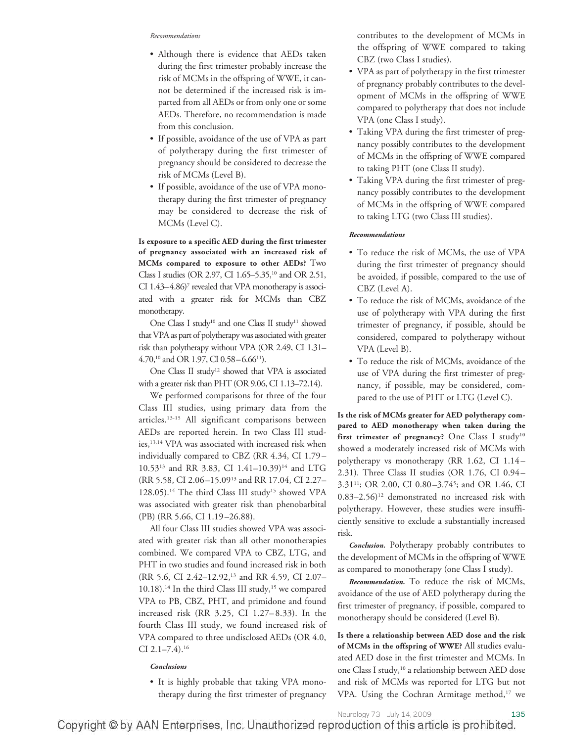## *Recommendations*

- Although there is evidence that AEDs taken during the first trimester probably increase the risk of MCMs in the offspring of WWE, it cannot be determined if the increased risk is imparted from all AEDs or from only one or some AEDs. Therefore, no recommendation is made from this conclusion.
- If possible, avoidance of the use of VPA as part of polytherapy during the first trimester of pregnancy should be considered to decrease the risk of MCMs (Level B).
- If possible, avoidance of the use of VPA monotherapy during the first trimester of pregnancy may be considered to decrease the risk of MCMs (Level C).

**Is exposure to a specific AED during the first trimester of pregnancy associated with an increased risk of MCMs compared to exposure to other AEDs?** Two Class I studies (OR 2.97, CI 1.65-5.35,<sup>10</sup> and OR 2.51, CI 1.43–4.86)<sup>7</sup> revealed that VPA monotherapy is associated with a greater risk for MCMs than CBZ monotherapy.

One Class I study<sup>10</sup> and one Class II study<sup>11</sup> showed that VPA as part of polytherapy was associated with greater risk than polytherapy without VPA (OR 2.49, CI 1.31– 4.70,<sup>10</sup> and OR 1.97, CI 0.58-6.66<sup>11</sup>).

One Class II study<sup>12</sup> showed that VPA is associated with a greater risk than PHT (OR 9.06, CI 1.13–72.14).

We performed comparisons for three of the four Class III studies, using primary data from the articles.13-15 All significant comparisons between AEDs are reported herein. In two Class III studies,<sup>13,14</sup> VPA was associated with increased risk when individually compared to CBZ (RR 4.34, CI 1.79 – 10.5313 and RR 3.83, CI 1.41–10.39)14 and LTG (RR 5.58, CI 2.06 –15.0913 and RR 17.04, CI 2.27– 128.05).<sup>14</sup> The third Class III study<sup>15</sup> showed VPA was associated with greater risk than phenobarbital (PB) (RR 5.66, CI 1.19 –26.88).

All four Class III studies showed VPA was associated with greater risk than all other monotherapies combined. We compared VPA to CBZ, LTG, and PHT in two studies and found increased risk in both (RR 5.6, CI 2.42–12.92,13 and RR 4.59, CI 2.07– 10.18).<sup>14</sup> In the third Class III study,<sup>15</sup> we compared VPA to PB, CBZ, PHT, and primidone and found increased risk (RR 3.25, CI 1.27– 8.33). In the fourth Class III study, we found increased risk of VPA compared to three undisclosed AEDs (OR 4.0, CI 2.1–7.4).16

# *Conclusions*

• It is highly probable that taking VPA monotherapy during the first trimester of pregnancy contributes to the development of MCMs in the offspring of WWE compared to taking CBZ (two Class I studies).

- VPA as part of polytherapy in the first trimester of pregnancy probably contributes to the development of MCMs in the offspring of WWE compared to polytherapy that does not include VPA (one Class I study).
- Taking VPA during the first trimester of pregnancy possibly contributes to the development of MCMs in the offspring of WWE compared to taking PHT (one Class II study).
- Taking VPA during the first trimester of pregnancy possibly contributes to the development of MCMs in the offspring of WWE compared to taking LTG (two Class III studies).

# *Recommendations*

- To reduce the risk of MCMs, the use of VPA during the first trimester of pregnancy should be avoided, if possible, compared to the use of CBZ (Level A).
- To reduce the risk of MCMs, avoidance of the use of polytherapy with VPA during the first trimester of pregnancy, if possible, should be considered, compared to polytherapy without VPA (Level B).
- To reduce the risk of MCMs, avoidance of the use of VPA during the first trimester of pregnancy, if possible, may be considered, compared to the use of PHT or LTG (Level C).

**Is the risk of MCMs greater for AED polytherapy compared to AED monotherapy when taken during the** first trimester of pregnancy? One Class I study<sup>10</sup> showed a moderately increased risk of MCMs with polytherapy vs monotherapy (RR 1.62, CI 1.14 – 2.31). Three Class II studies (OR 1.76, CI 0.94 – 3.3111; OR 2.00, CI 0.80 –3.745 ; and OR 1.46, CI  $0.83-2.56$ <sup>12</sup> demonstrated no increased risk with polytherapy. However, these studies were insufficiently sensitive to exclude a substantially increased risk.

*Conclusion.* Polytherapy probably contributes to the development of MCMs in the offspring of WWE as compared to monotherapy (one Class I study).

*Recommendation.* To reduce the risk of MCMs, avoidance of the use of AED polytherapy during the first trimester of pregnancy, if possible, compared to monotherapy should be considered (Level B).

**Is there a relationship between AED dose and the risk of MCMs in the offspring of WWE?** All studies evaluated AED dose in the first trimester and MCMs. In one Class I study,<sup>10</sup> a relationship between AED dose and risk of MCMs was reported for LTG but not VPA. Using the Cochran Armitage method,<sup>17</sup> we

Neurology 73 July 14, 2009 135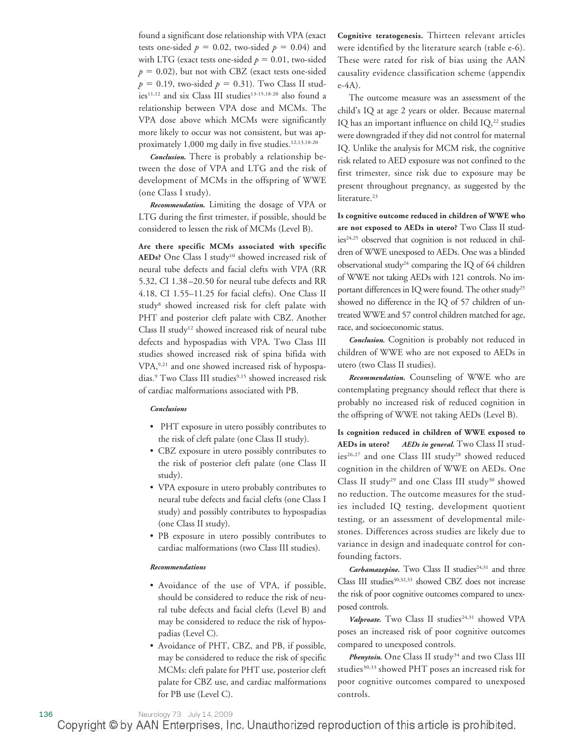found a significant dose relationship with VPA (exact tests one-sided  $p = 0.02$ , two-sided  $p = 0.04$ ) and with LTG (exact tests one-sided  $p = 0.01$ , two-sided  $p = 0.02$ ), but not with CBZ (exact tests one-sided  $p = 0.19$ , two-sided  $p = 0.31$ ). Two Class II studies<sup>11,12</sup> and six Class III studies<sup>13-15,18-20</sup> also found a relationship between VPA dose and MCMs. The VPA dose above which MCMs were significantly more likely to occur was not consistent, but was approximately 1,000 mg daily in five studies.<sup>12,13,18-20</sup>

*Conclusion.* There is probably a relationship between the dose of VPA and LTG and the risk of development of MCMs in the offspring of WWE (one Class I study).

*Recommendation.* Limiting the dosage of VPA or LTG during the first trimester, if possible, should be considered to lessen the risk of MCMs (Level B).

**Are there specific MCMs associated with specific** AEDs? One Class I study<sup>10</sup> showed increased risk of neural tube defects and facial clefts with VPA (RR 5.32, CI 1.38 –20.50 for neural tube defects and RR 4.18, CI 1.55–11.25 for facial clefts). One Class II study<sup>8</sup> showed increased risk for cleft palate with PHT and posterior cleft palate with CBZ. Another Class II study<sup>12</sup> showed increased risk of neural tube defects and hypospadias with VPA. Two Class III studies showed increased risk of spina bifida with VPA,9,21 and one showed increased risk of hypospadias.<sup>9</sup> Two Class III studies<sup>9,15</sup> showed increased risk of cardiac malformations associated with PB.

# *Conclusions*

- PHT exposure in utero possibly contributes to the risk of cleft palate (one Class II study).
- CBZ exposure in utero possibly contributes to the risk of posterior cleft palate (one Class II study).
- VPA exposure in utero probably contributes to neural tube defects and facial clefts (one Class I study) and possibly contributes to hypospadias (one Class II study).
- PB exposure in utero possibly contributes to cardiac malformations (two Class III studies).

## *Recommendations*

- Avoidance of the use of VPA, if possible, should be considered to reduce the risk of neural tube defects and facial clefts (Level B) and may be considered to reduce the risk of hypospadias (Level C).
- Avoidance of PHT, CBZ, and PB, if possible, may be considered to reduce the risk of specific MCMs: cleft palate for PHT use, posterior cleft palate for CBZ use, and cardiac malformations for PB use (Level C).

**Cognitive teratogenesis.** Thirteen relevant articles were identified by the literature search (table e-6). These were rated for risk of bias using the AAN causality evidence classification scheme (appendix e-4A).

The outcome measure was an assessment of the child's IQ at age 2 years or older. Because maternal IQ has an important influence on child  $IQ$ ,<sup>22</sup> studies were downgraded if they did not control for maternal IQ. Unlike the analysis for MCM risk, the cognitive risk related to AED exposure was not confined to the first trimester, since risk due to exposure may be present throughout pregnancy, as suggested by the literature.<sup>23</sup>

**Is cognitive outcome reduced in children of WWE who are not exposed to AEDs in utero?** Two Class II studies<sup>24,25</sup> observed that cognition is not reduced in children of WWE unexposed to AEDs. One was a blinded observational study<sup>24</sup> comparing the IQ of 64 children of WWE not taking AEDs with 121 controls. No important differences in IQ were found. The other study<sup>25</sup> showed no difference in the IQ of 57 children of untreated WWE and 57 control children matched for age, race, and socioeconomic status.

*Conclusion.* Cognition is probably not reduced in children of WWE who are not exposed to AEDs in utero (two Class II studies).

*Recommendation.* Counseling of WWE who are contemplating pregnancy should reflect that there is probably no increased risk of reduced cognition in the offspring of WWE not taking AEDs (Level B).

**Is cognition reduced in children of WWE exposed to AEDs in utero?** *AEDs in general.* Two Class II studies<sup>26,27</sup> and one Class III study<sup>28</sup> showed reduced cognition in the children of WWE on AEDs. One Class II study<sup>29</sup> and one Class III study<sup>30</sup> showed no reduction. The outcome measures for the studies included IQ testing, development quotient testing, or an assessment of developmental milestones. Differences across studies are likely due to variance in design and inadequate control for confounding factors.

*Carbamazepine*. Two Class II studies<sup>24,31</sup> and three Class III studies<sup>30,32,33</sup> showed CBZ does not increase the risk of poor cognitive outcomes compared to unexposed controls.

Valproate. Two Class II studies<sup>24,31</sup> showed VPA poses an increased risk of poor cognitive outcomes compared to unexposed controls.

Phenytoin. One Class II study<sup>34</sup> and two Class III studies<sup>30,33</sup> showed PHT poses an increased risk for poor cognitive outcomes compared to unexposed controls.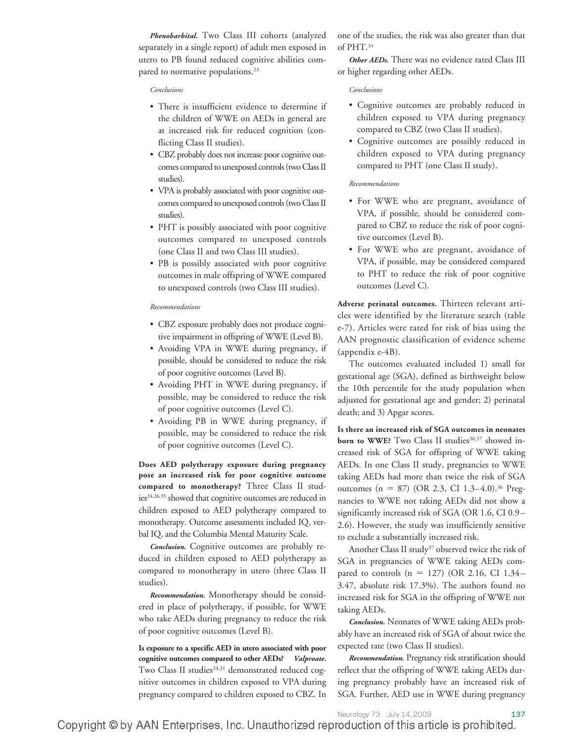*Phenobarbital.* Two Class III cohorts (analyzed separately in a single report) of adult men exposed in utero to PB found reduced cognitive abilities compared to normative populations.<sup>23</sup>

# *Conclusions*

- There is insufficient evidence to determine if the children of WWE on AEDs in general are at increased risk for reduced cognition (conflicting Class II studies).
- CBZ probably does not increase poor cognitive outcomes compared to unexposed controls (twoClass II studies).
- VPA is probably associated with poor cognitive outcomes compared to unexposed controls (twoClass II studies).
- PHT is possibly associated with poor cognitive outcomes compared to unexposed controls (one Class II and two Class III studies).
- PB is possibly associated with poor cognitive outcomes in male offspring of WWE compared to unexposed controls (two Class III studies).

*Recommendations*

- CBZ exposure probably does not produce cognitive impairment in offspring of WWE (Level B).
- Avoiding VPA in WWE during pregnancy, if possible, should be considered to reduce the risk of poor cognitive outcomes (Level B).
- Avoiding PHT in WWE during pregnancy, if possible, may be considered to reduce the risk of poor cognitive outcomes (Level C).
- Avoiding PB in WWE during pregnancy, if possible, may be considered to reduce the risk of poor cognitive outcomes (Level C).

**Does AED polytherapy exposure during pregnancy pose an increased risk for poor cognitive outcome compared to monotherapy?** Three Class II studies<sup>24,26,35</sup> showed that cognitive outcomes are reduced in children exposed to AED polytherapy compared to monotherapy. Outcome assessments included IQ, verbal IQ, and the Columbia Mental Maturity Scale.

*Conclusion.* Cognitive outcomes are probably reduced in children exposed to AED polytherapy as compared to monotherapy in utero (three Class II studies).

*Recommendation.* Monotherapy should be considered in place of polytherapy, if possible, for WWE who take AEDs during pregnancy to reduce the risk of poor cognitive outcomes (Level B).

**Is exposure to a specific AED in utero associated with poor cognitive outcomes compared to other AEDs?** *Valproate.* Two Class II studies<sup>24,31</sup> demonstrated reduced cognitive outcomes in children exposed to VPA during pregnancy compared to children exposed to CBZ. In one of the studies, the risk was also greater than that of PHT.31

*Other AEDs.* There was no evidence rated Class III or higher regarding other AEDs.

*Conclusions*

- Cognitive outcomes are probably reduced in children exposed to VPA during pregnancy compared to CBZ (two Class II studies).
- Cognitive outcomes are possibly reduced in children exposed to VPA during pregnancy compared to PHT (one Class II study).

# *Recommendations*

- For WWE who are pregnant, avoidance of VPA, if possible, should be considered compared to CBZ to reduce the risk of poor cognitive outcomes (Level B).
- For WWE who are pregnant, avoidance of VPA, if possible, may be considered compared to PHT to reduce the risk of poor cognitive outcomes (Level C).

**Adverse perinatal outcomes.** Thirteen relevant articles were identified by the literature search (table e-7). Articles were rated for risk of bias using the AAN prognostic classification of evidence scheme (appendix e-4B).

The outcomes evaluated included 1) small for gestational age (SGA), defined as birthweight below the 10th percentile for the study population when adjusted for gestational age and gender; 2) perinatal death; and 3) Apgar scores.

**Is there an increased risk of SGA outcomes in neonates born to WWE?** Two Class II studies<sup>36,37</sup> showed increased risk of SGA for offspring of WWE taking AEDs. In one Class II study, pregnancies to WWE taking AEDs had more than twice the risk of SGA outcomes (n = 87) (OR 2.3, CI 1.3-4.0).<sup>36</sup> Pregnancies to WWE not taking AEDs did not show a significantly increased risk of SGA (OR 1.6, CI 0.9 – 2.6). However, the study was insufficiently sensitive to exclude a substantially increased risk.

Another Class II study<sup>37</sup> observed twice the risk of SGA in pregnancies of WWE taking AEDs compared to controls  $(n = 127)$  (OR 2.16, CI 1.34– 3.47, absolute risk 17.3%). The authors found no increased risk for SGA in the offspring of WWE not taking AEDs.

*Conclusion.* Neonates of WWE taking AEDs probably have an increased risk of SGA of about twice the expected rate (two Class II studies).

*Recommendation.* Pregnancy risk stratification should reflect that the offspring of WWE taking AEDs during pregnancy probably have an increased risk of SGA. Further, AED use in WWE during pregnancy

Neurology 73 July 14, 2009 137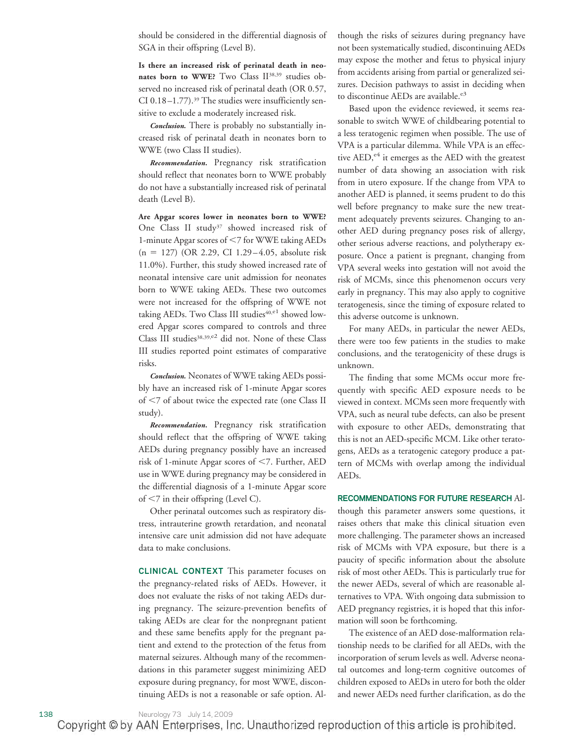should be considered in the differential diagnosis of SGA in their offspring (Level B).

**Is there an increased risk of perinatal death in neo**nates born to WWE? Two Class II<sup>38,39</sup> studies observed no increased risk of perinatal death (OR 0.57, CI 0.18 $-1.77$ ).<sup>39</sup> The studies were insufficiently sensitive to exclude a moderately increased risk.

*Conclusion.* There is probably no substantially increased risk of perinatal death in neonates born to WWE (two Class II studies).

*Recommendation.* Pregnancy risk stratification should reflect that neonates born to WWE probably do not have a substantially increased risk of perinatal death (Level B).

**Are Apgar scores lower in neonates born to WWE?** One Class II study<sup>37</sup> showed increased risk of 1-minute Apgar scores of <7 for WWE taking AEDs (n - 127) (OR 2.29, CI 1.29 – 4.05, absolute risk 11.0%). Further, this study showed increased rate of neonatal intensive care unit admission for neonates born to WWE taking AEDs. These two outcomes were not increased for the offspring of WWE not taking AEDs. Two Class III studies<sup>40,e1</sup> showed lowered Apgar scores compared to controls and three Class III studies<sup>38,39,e2</sup> did not. None of these Class III studies reported point estimates of comparative risks.

*Conclusion.* Neonates of WWE taking AEDs possibly have an increased risk of 1-minute Apgar scores of  $\leq$  7 of about twice the expected rate (one Class II study).

*Recommendation.* Pregnancy risk stratification should reflect that the offspring of WWE taking AEDs during pregnancy possibly have an increased risk of 1-minute Apgar scores of  $\leq 7$ . Further, AED use in WWE during pregnancy may be considered in the differential diagnosis of a 1-minute Apgar score of  $\leq$  7 in their offspring (Level C).

Other perinatal outcomes such as respiratory distress, intrauterine growth retardation, and neonatal intensive care unit admission did not have adequate data to make conclusions.

**CLINICAL CONTEXT** This parameter focuses on the pregnancy-related risks of AEDs. However, it does not evaluate the risks of not taking AEDs during pregnancy. The seizure-prevention benefits of taking AEDs are clear for the nonpregnant patient and these same benefits apply for the pregnant patient and extend to the protection of the fetus from maternal seizures. Although many of the recommendations in this parameter suggest minimizing AED exposure during pregnancy, for most WWE, discontinuing AEDs is not a reasonable or safe option. Although the risks of seizures during pregnancy have not been systematically studied, discontinuing AEDs may expose the mother and fetus to physical injury from accidents arising from partial or generalized seizures. Decision pathways to assist in deciding when to discontinue AEDs are available.<sup>e3</sup>

Based upon the evidence reviewed, it seems reasonable to switch WWE of childbearing potential to a less teratogenic regimen when possible. The use of VPA is a particular dilemma. While VPA is an effective  $AED$ ,  $e^4$  it emerges as the AED with the greatest number of data showing an association with risk from in utero exposure. If the change from VPA to another AED is planned, it seems prudent to do this well before pregnancy to make sure the new treatment adequately prevents seizures. Changing to another AED during pregnancy poses risk of allergy, other serious adverse reactions, and polytherapy exposure. Once a patient is pregnant, changing from VPA several weeks into gestation will not avoid the risk of MCMs, since this phenomenon occurs very early in pregnancy. This may also apply to cognitive teratogenesis, since the timing of exposure related to this adverse outcome is unknown.

For many AEDs, in particular the newer AEDs, there were too few patients in the studies to make conclusions, and the teratogenicity of these drugs is unknown.

The finding that some MCMs occur more frequently with specific AED exposure needs to be viewed in context. MCMs seen more frequently with VPA, such as neural tube defects, can also be present with exposure to other AEDs, demonstrating that this is not an AED-specific MCM. Like other teratogens, AEDs as a teratogenic category produce a pattern of MCMs with overlap among the individual AEDs.

# **RECOMMENDATIONS FOR FUTURE RESEARCH** Al-

though this parameter answers some questions, it raises others that make this clinical situation even more challenging. The parameter shows an increased risk of MCMs with VPA exposure, but there is a paucity of specific information about the absolute risk of most other AEDs. This is particularly true for the newer AEDs, several of which are reasonable alternatives to VPA. With ongoing data submission to AED pregnancy registries, it is hoped that this information will soon be forthcoming.

The existence of an AED dose-malformation relationship needs to be clarified for all AEDs, with the incorporation of serum levels as well. Adverse neonatal outcomes and long-term cognitive outcomes of children exposed to AEDs in utero for both the older and newer AEDs need further clarification, as do the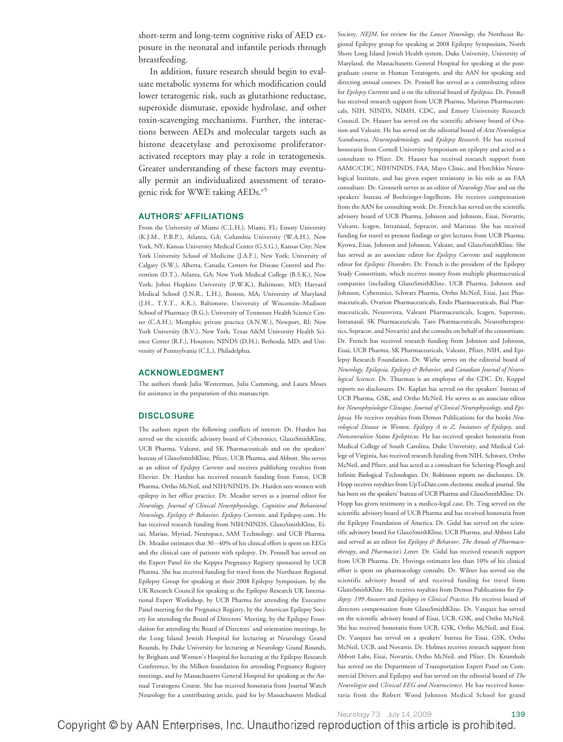short-term and long-term cognitive risks of AED exposure in the neonatal and infantile periods through breastfeeding.

In addition, future research should begin to evaluate metabolic systems for which modification could lower teratogenic risk, such as glutathione reductase, superoxide dismutase, epoxide hydrolase, and other toxin-scavenging mechanisms. Further, the interactions between AEDs and molecular targets such as histone deacetylase and peroxisome proliferatoractivated receptors may play a role in teratogenesis. Greater understanding of these factors may eventually permit an individualized assessment of teratogenic risk for WWE taking AEDs.<sup>e5</sup>

# **AUTHORS' AFFILIATIONS**

From the University of Miami (C.L.H.), Miami, FL; Emory University (K.J.M., P.B.P.), Atlanta, GA; Columbia University (W.A.H.), New York, NY; Kansas University Medical Center (G.S.G.), Kansas City; New York University School of Medicine (J.A.F.), New York; University of Calgary (S.W.), Alberta, Canada; Centers for Disease Control and Prevention (D.T.), Atlanta, GA; New York Medical College (B.S.K.), New York; Johns Hopkins University (P.W.K.), Baltimore, MD; Harvard Medical School (J.N.R., L.H.), Boston, MA; University of Maryland (J.H., T.Y.T., A.K.), Baltimore; University of Wisconsin–Madison School of Pharmacy (B.G.); University of Tennessee Health Science Center (C.A.H.), Memphis; private practice (A.N.W.), Newport, RI; New York University (B.V.), New York; Texas A&M University Health Science Center (R.F.), Houston; NINDS (D.H.), Bethesda, MD; and University of Pennsylvania (C.L.), Philadelphia.

#### **ACKNOWLEDGMENT**

The authors thank Julia Westerman, Julia Cumming, and Laura Moses for assistance in the preparation of this manuscript.

#### **DISCLOSURE**

The authors report the following conflicts of interest: Dr. Harden has served on the scientific advisory board of Cyberonics, GlaxoSmithKline, UCB Pharma, Valeant, and SK Pharmaceuticals and on the speakers' bureau of GlaxoSmithKline, Pfizer, UCB Pharma, and Abbott. She serves as an editor of *Epilepsy Currents* and receives publishing royalties from Elsevier. Dr. Harden has received research funding from Forest, UCB Pharma, Ortho McNeil, and NIH/NINDS. Dr. Harden sees women with epilepsy in her office practice. Dr. Meador serves as a journal editor for *Neurology, Journal of Clinical Neurophysiology, Cognitive and Behavioral Neurology, Epilepsy & Behavior, Epilepsy Currents*, and Epilepsy.com. He has received research funding from NIH/NINDS, GlaxoSmithKline, Eisai, Marius, Myriad, Neuropace, SAM Technology, and UCB Pharma. Dr. Meador estimates that 30 – 40% of his clinical effort is spent on EEGs and the clinical care of patients with epilepsy. Dr. Pennell has served on the Expert Panel for the Keppra Pregnancy Registry sponsored by UCB Pharma. She has received funding for travel from the Northeast Regional Epilepsy Group for speaking at their 2008 Epilepsy Symposium, by the UK Research Council for speaking at the Epilepsy Research UK International Expert Workshop, by UCB Pharma for attending the Executive Panel meeting for the Pregnancy Registry, by the American Epilepsy Society for attending the Board of Directors' Meeting, by the Epilepsy Foundation for attending the Board of Directors' and orientation meetings, by the Long Island Jewish Hospital for lecturing at Neurology Grand Rounds, by Duke University for lecturing at Neurology Grand Rounds, by Brigham and Women's Hospital for lecturing at the Epilepsy Research Conference, by the Milken foundation for attending Pregnancy Registry meetings, and by Massachusetts General Hospital for speaking at the Annual Teratogens Course. She has received honoraria from Journal Watch Neurology for a contributing article, paid for by Massachusetts Medical

Society, *NEJM*, for review for the *Lancet Neurology*, the Northeast Regional Epilepsy group for speaking at 2008 Epilepsy Symposium, North Shore Long Island Jewish Health system, Duke University, University of Maryland, the Massachusetts General Hospital for speaking at the postgraduate course in Human Teratogens, and the AAN for speaking and directing annual courses. Dr. Pennell has served as a contributing editor for *Epilepsy Currents* and is on the editorial board of *Epilepsia*. Dr. Pennell has received research support from UCB Pharma, Marinus Pharmaceuticals, NIH, NINDS, NIMH, CDC, and Emory University Research Council. Dr. Hauser has served on the scientific advisory board of Ovation and Valeant. He has served on the editorial board of *Acta Neurologica Scandinavia, Neuroepidemiology*, and *Epilepsy Research*. He has received honoraria from Cornell University Symposium on epilepsy and acted as a consultant to Pfizer. Dr. Hauser has received research support from AAMC/CDC, NIH/NINDS, FAA, Mayo Clinic, and Hotchkiss Neurological Institute, and has given expert testimony in his role as an FAA consultant. Dr. Gronseth serves as an editor of *Neurology Now* and on the speakers' bureau of Boehringer-Ingelheim. He receives compensation from the AAN for consulting work. Dr. French has served on the scientific advisory board of UCB Pharma, Johnson and Johnson, Eisai, Novartis, Valeant, Icagen, Intranasal, Sepracor, and Marinus. She has received funding for travel to present findings or give lectures from UCB Pharma, Kyowa, Eisai, Johnson and Johnson, Valeant, and GlaxoSmithKline. She has served as an associate editor for *Epilepsy Currents* and supplement editor for *Epileptic Disorders*. Dr. French is the president of the Epilepsy Study Consortium, which receives money from multiple pharmaceutical companies (including GlaxoSmithKline, UCB Pharma, Johnson and Johnson, Cyberonics, Schwarz Pharma, Ortho McNeil, Eisai, Jazz Pharmaceuticals, Ovation Pharmaceuticals, Endo Pharmaceuticals, Bial Pharmaceuticals, Neurovista, Valeant Pharmaceuticals, Icagen, Supernus, Intranasal, SK Pharmaceuticals, Taro Pharmaceuticals, Neurotherapeutics, Sepracor, and Novartis) and she consults on behalf of the consortium. Dr. French has received research funding from Johnson and Johnson, Eisai, UCB Pharma, SK Pharmaceuticals, Valeant, Pfizer, NIH, and Epilepsy Research Foundation. Dr. Wiebe serves on the editorial board of *Neurology, Epilepsia, Epilepsy & Behavior*, and *Canadian Journal of Neurological Sciences.* Dr. Thurman is an employee of the CDC. Dr. Koppel reports no disclosures. Dr. Kaplan has served on the speakers' bureau of UCB Pharma, GSK, and Ortho McNeil. He serves as an associate editor for *Neurophysiologie Clinique, Journal of Clinical Neurophysiology*, and *Epilepsia*. He receives royalties from Demos Publications for the books *Neurological Disease in Women, Epilepsy A to Z, Imitators of Epilepsy*, and *Nonconvulsive Status Epilepticus*. He has received speaker honoraria from Medical College of South Carolina, Duke University, and Medical College of Virginia, has received research funding from NIH, Schwarz, Ortho McNeil, and Pfizer, and has acted as a consultant for Schering-Plough and Infinite Biological Technologies. Dr. Robinson reports no disclosures. Dr. Hopp receives royalties from UpToDate.com electronic medical journal. She has been on the speakers' bureau of UCB Pharma and GlaxoSmithKline. Dr. Hopp has given testimony in a medico-legal case. Dr. Ting served on the scientific advisory board of UCB Pharma and has received honoraria from the Epilepsy Foundation of America. Dr. Gidal has served on the scientific advisory board for GlaxoSmithKline, UCB Pharma, and Abbott Labs and served as an editor for *Epilepsy & Behavior*, *The Annals of Pharmacotherapy*, and *Pharmacist's Letter.* Dr. Gidal has received research support from UCB Pharma. Dr. Hovinga estimates less than 10% of his clinical effort is spent on pharmacology consults. Dr. Wilner has served on the scientific advisory board of and received funding for travel from GlaxoSmithKline. He receives royalties from Demos Publications for *Epilepsy: 199 Answers* and *Epilepsy in Clinical Practice*. He receives board of directors compensation from GlaxoSmithKline. Dr. Vazquez has served on the scientific advisory board of Eisai, UCB, GSK, and Ortho McNeil. She has received honoraria from UCB, GSK, Ortho McNeil, and Eisai. Dr. Vazquez has served on a speakers' bureau for Eisai, GSK, Ortho McNeil, UCB, and Novartis. Dr. Holmes receives research support from Abbott Labs, Eisai, Novartis, Ortho McNeil, and Pfizer. Dr. Krumholz has served on the Department of Transportation Expert Panel on Commercial Drivers and Epilepsy and has served on the editorial board of *The Neurologist* and *Clinical EEG and Neuroscience.* He has received honoraria from the Robert Wood Johnson Medical School for grand

Neurology 73 July 14, 2009 139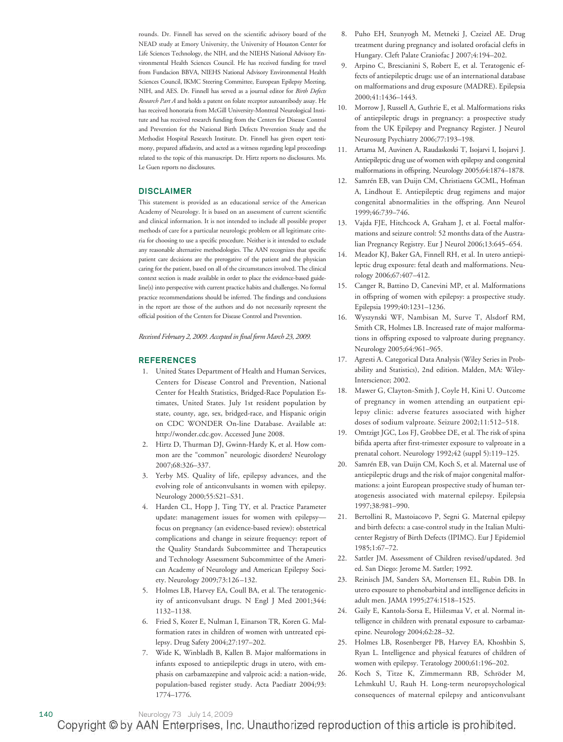rounds. Dr. Finnell has served on the scientific advisory board of the NEAD study at Emory University, the University of Houston Center for Life Sciences Technology, the NIH, and the NIEHS National Advisory Environmental Health Sciences Council. He has received funding for travel from Fundacion BBVA, NIEHS National Advisory Environmental Health Sciences Council, IKMC Steering Committee, European Epilepsy Meeting, NIH, and AES. Dr. Finnell has served as a journal editor for *Birth Defects Research Part A* and holds a patent on folate receptor autoantibody assay. He has received honoraria from McGill University-Montreal Neurological Institute and has received research funding from the Centers for Disease Control and Prevention for the National Birth Defects Prevention Study and the Methodist Hospital Research Institute. Dr. Finnell has given expert testimony, prepared affadavits, and acted as a witness regarding legal proceedings related to the topic of this manuscript. Dr. Hirtz reports no disclosures. Ms. Le Guen reports no disclosures.

# **DISCLAIMER**

This statement is provided as an educational service of the American Academy of Neurology. It is based on an assessment of current scientific and clinical information. It is not intended to include all possible proper methods of care for a particular neurologic problem or all legitimate criteria for choosing to use a specific procedure. Neither is it intended to exclude any reasonable alternative methodologies. The AAN recognizes that specific patient care decisions are the prerogative of the patient and the physician caring for the patient, based on all of the circumstances involved. The clinical context section is made available in order to place the evidence-based guideline(s) into perspective with current practice habits and challenges. No formal practice recommendations should be inferred. The findings and conclusions in the report are those of the authors and do not necessarily represent the official position of the Centers for Disease Control and Prevention.

*Received February 2, 2009. Accepted in final form March 23, 2009.*

#### **REFERENCES**

- 1. United States Department of Health and Human Services, Centers for Disease Control and Prevention, National Center for Health Statistics, Bridged-Race Population Estimates, United States. July 1st resident population by state, county, age, sex, bridged-race, and Hispanic origin on CDC WONDER On-line Database. Available at: http://wonder.cdc.gov. Accessed June 2008.
- 2. Hirtz D, Thurman DJ, Gwinn-Hardy K, et al. How common are the "common" neurologic disorders? Neurology 2007;68:326–337.
- 3. Yerby MS. Quality of life, epilepsy advances, and the evolving role of anticonvulsants in women with epilepsy. Neurology 2000;55:S21–S31.
- 4. Harden CL, Hopp J, Ting TY, et al. Practice Parameter update: management issues for women with epilepsy focus on pregnancy (an evidence-based review): obstetrical complications and change in seizure frequency: report of the Quality Standards Subcommittee and Therapeutics and Technology Assessment Subcommittee of the American Academy of Neurology and American Epilepsy Society. Neurology 2009;73:126 –132.
- 5. Holmes LB, Harvey EA, Coull BA, et al. The teratogenicity of anticonvulsant drugs. N Engl J Med 2001;344: 1132–1138.
- 6. Fried S, Kozer E, Nulman I, Einarson TR, Koren G. Malformation rates in children of women with untreated epilepsy. Drug Safety 2004;27:197–202.
- 7. Wide K, Winbladh B, Kallen B. Major malformations in infants exposed to antiepileptic drugs in utero, with emphasis on carbamazepine and valproic acid: a nation-wide, population-based register study. Acta Paediatr 2004;93: 1774–1776.
- 8. Puho EH, Szunyogh M, Metneki J, Czeizel AE. Drug treatment during pregnancy and isolated orofacial clefts in Hungary. Cleft Palate Craniofac J 2007;4:194–202.
- 9. Arpino C, Brescianini S, Robert E, et al. Teratogenic effects of antiepileptic drugs: use of an international database on malformations and drug exposure (MADRE). Epilepsia 2000;41:1436–1443.
- 10. Morrow J, Russell A, Guthrie E, et al. Malformations risks of antiepileptic drugs in pregnancy: a prospective study from the UK Epilepsy and Pregnancy Register. J Neurol Neurosurg Psychiatry 2006;77:193–198.
- 11. Artama M, Auvinen A, Raudaskoski T, Isojarvi I, Isojarvi J. Antiepileptic drug use of women with epilepsy and congenital malformations in offspring. Neurology 2005;64:1874–1878.
- 12. Samrén EB, van Duijn CM, Christiaens GCML, Hofman A, Lindhout E. Antiepileptic drug regimens and major congenital abnormalities in the offspring. Ann Neurol 1999;46:739–746.
- 13. Vajda FJE, Hitchcock A, Graham J, et al. Foetal malformations and seizure control: 52 months data of the Australian Pregnancy Registry. Eur J Neurol 2006;13:645–654.
- 14. Meador KJ, Baker GA, Finnell RH, et al. In utero antiepileptic drug exposure: fetal death and malformations. Neurology 2006;67:407–412.
- 15. Canger R, Battino D, Canevini MP, et al. Malformations in offspring of women with epilepsy: a prospective study. Epilepsia 1999;40:1231–1236.
- 16. Wyszynski WF, Nambisan M, Surve T, Alsdorf RM, Smith CR, Holmes LB. Increased rate of major malformations in offspring exposed to valproate during pregnancy. Neurology 2005;64:961–965.
- 17. Agresti A. Categorical Data Analysis (Wiley Series in Probability and Statistics), 2nd edition. Malden, MA: Wiley-Interscience; 2002.
- 18. Mawer G, Clayton-Smith J, Coyle H, Kini U. Outcome of pregnancy in women attending an outpatient epilepsy clinic: adverse features associated with higher doses of sodium valproate. Seizure 2002;11:512–518.
- 19. Omtzigt JGC, Los FJ, Grobbee DE, et al. The risk of spina bifida aperta after first-trimester exposure to valproate in a prenatal cohort. Neurology 1992;42 (suppl 5):119–125.
- 20. Samrén EB, van Duijn CM, Koch S, et al. Maternal use of antiepileptic drugs and the risk of major congenital malformations: a joint European prospective study of human teratogenesis associated with maternal epilepsy. Epilepsia 1997;38:981–990.
- 21. Bertollini R, Mastoiacovo P, Segni G. Maternal epilepsy and birth defects: a case-control study in the Italian Multicenter Registry of Birth Defects (IPIMC). Eur J Epidemiol 1985;1:67–72.
- 22. Sattler JM. Assessment of Children revised/updated. 3rd ed. San Diego: Jerome M. Sattler; 1992.
- 23. Reinisch JM, Sanders SA, Mortensen EL, Rubin DB. In utero exposure to phenobarbital and intelligence deficits in adult men. JAMA 1995;274:1518–1525.
- 24. Gaily E, Kantola-Sorsa E, Hiilesmaa V, et al. Normal intelligence in children with prenatal exposure to carbamazepine. Neurology 2004;62:28–32.
- 25. Holmes LB, Rosenberger PB, Harvey EA, Khoshbin S, Ryan L. Intelligence and physical features of children of women with epilepsy. Teratology 2000;61:196–202.
- 26. Koch S, Titze K, Zimmermann RB, Schröder M, Lehmkuhl U, Rauh H. Long-term neuropsychological consequences of maternal epilepsy and anticonvulsant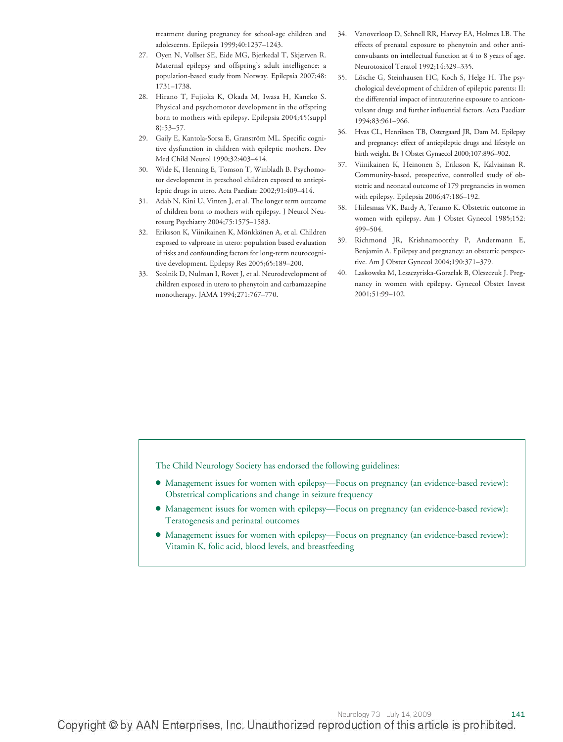treatment during pregnancy for school-age children and adolescents. Epilepsia 1999;40:1237–1243.

- 27. Oyen N, Vollset SE, Eide MG, Bjerkedal T, Skjærven R. Maternal epilepsy and offspring's adult intelligence: a population-based study from Norway. Epilepsia 2007;48: 1731–1738.
- 28. Hirano T, Fujioka K, Okada M, Iwasa H, Kaneko S. Physical and psychomotor development in the offspring born to mothers with epilepsy. Epilepsia 2004;45(suppl 8):53–57.
- 29. Gaily E, Kantola-Sorsa E, Granström ML. Specific cognitive dysfunction in children with epileptic mothers. Dev Med Child Neurol 1990;32:403–414.
- 30. Wide K, Henning E, Tomson T, Winbladh B. Psychomotor development in preschool children exposed to antiepileptic drugs in utero. Acta Paediatr 2002;91:409–414.
- 31. Adab N, Kini U, Vinten J, et al. The longer term outcome of children born to mothers with epilepsy. J Neurol Neurosurg Psychiatry 2004;75:1575–1583.
- 32. Eriksson K, Viinikainen K, Mönkkönen A, et al. Children exposed to valproate in utero: population based evaluation of risks and confounding factors for long-term neurocognitive development. Epilepsy Res 2005;65:189–200.
- 33. Scolnik D, Nulman I, Rovet J, et al. Neurodevelopment of children exposed in utero to phenytoin and carbamazepine monotherapy. JAMA 1994;271:767–770.
- 34. Vanoverloop D, Schnell RR, Harvey EA, Holmes LB. The effects of prenatal exposure to phenytoin and other anticonvulsants on intellectual function at 4 to 8 years of age. Neurotoxicol Teratol 1992;14:329–335.
- 35. Lösche G, Steinhausen HC, Koch S, Helge H. The psychological development of children of epileptic parents: II: the differential impact of intrauterine exposure to anticonvulsant drugs and further influential factors. Acta Paediatr 1994;83:961–966.
- 36. Hvas CL, Henriksen TB, Ostergaard JR, Dam M. Epilepsy and pregnancy: effect of antiepileptic drugs and lifestyle on birth weight. Br J Obstet Gynaecol 2000;107:896–902.
- 37. Viinikainen K, Heinonen S, Eriksson K, Kalviainan R. Community-based, prospective, controlled study of obstetric and neonatal outcome of 179 pregnancies in women with epilepsy. Epilepsia 2006;47:186–192.
- 38. Hiilesmaa VK, Bardy A, Teramo K. Obstetric outcome in women with epilepsy. Am J Obstet Gynecol 1985;152: 499–504.
- 39. Richmond JR, Krishnamoorthy P, Andermann E, Benjamin A. Epilepsy and pregnancy: an obstetric perspective. Am J Obstet Gynecol 2004;190:371–379.
- 40. Laskowska M, Leszczyriska-Gorzelak B, Oleszczuk J. Pregnancy in women with epilepsy. Gynecol Obstet Invest 2001;51:99–102.

The Child Neurology Society has endorsed the following guidelines:

- Management issues for women with epilepsy—Focus on pregnancy (an evidence-based review): Obstetrical complications and change in seizure frequency
- Management issues for women with epilepsy—Focus on pregnancy (an evidence-based review): Teratogenesis and perinatal outcomes
- Management issues for women with epilepsy—Focus on pregnancy (an evidence-based review): Vitamin K, folic acid, blood levels, and breastfeeding